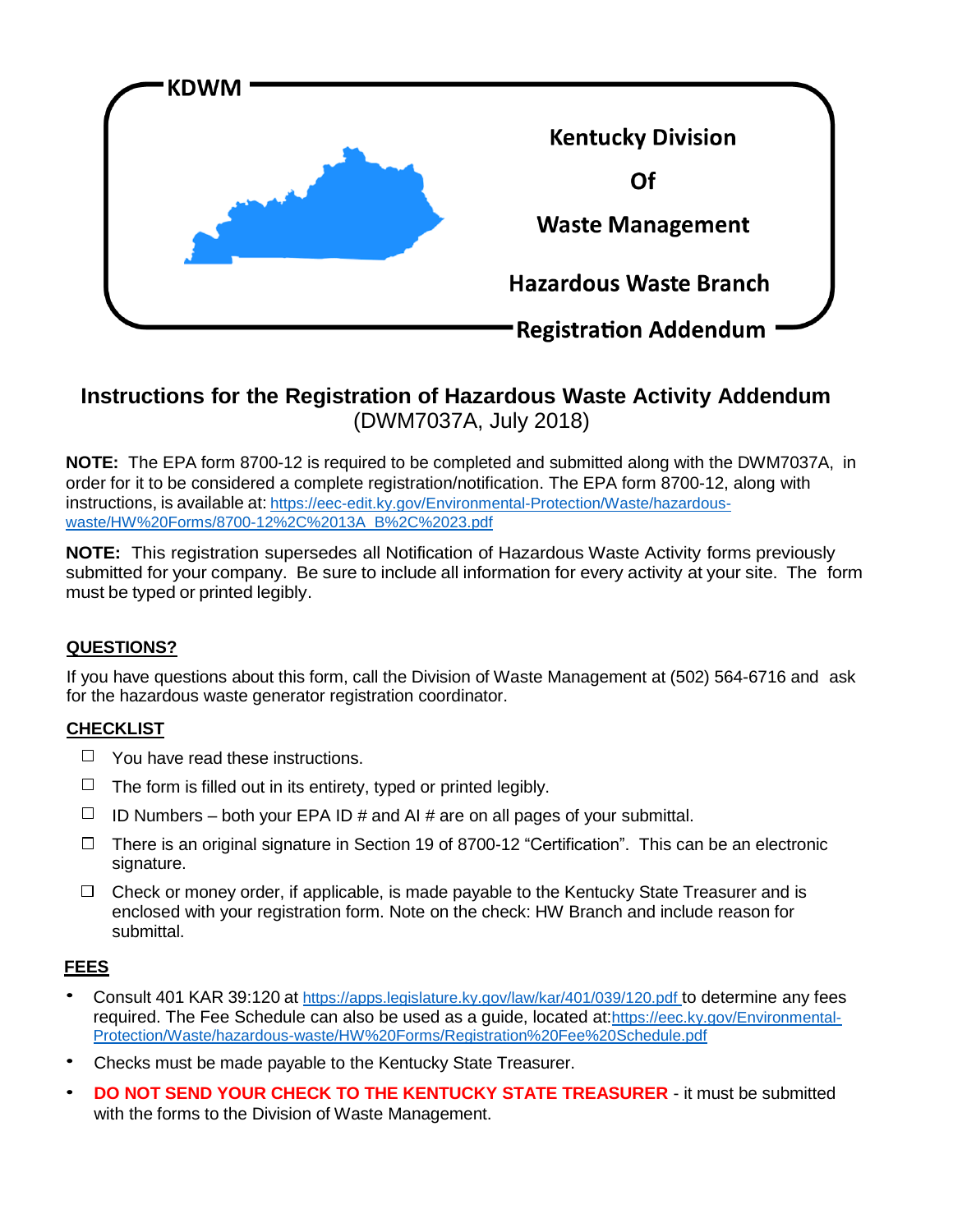

# **Instructions for the Registration of Hazardous Waste Activity Addendum** (DWM7037A, July 2018)

**NOTE:** The EPA form 8700-12 is required to be completed and submitted along with the DWM7037A, in order for it to be considered a complete registration/notification. The EPA form 8700-12, along with instructions, is available at: https://eec-edit.ky.gov/Environmental-Protection/Waste/hazardouswaste/HW%20Forms/8700-12%2C%2013A\_B%2C%2023.pdf

**NOTE:** This registration supersedes all Notification of Hazardous Waste Activity forms previously submitted for your company. Be sure to include all information for every activity at your site. The form must be typed or printed legibly.

# **QUESTIONS?**

If you have questions about this form, call the Division of Waste Management at (502) 564-6716 and ask for the hazardous waste generator registration coordinator.

# **CHECKLIST**

- $\Box$  You have read these instructions.
- $\Box$  The form is filled out in its entirety, typed or printed legibly.
- $\Box$  ID Numbers both your EPA ID # and AI # are on all pages of your submittal.
- □ There is an original signature in Section 19 of 8700-12 "Certification". This can be an electronic signature.
- $\Box$  Check or money order, if applicable, is made payable to the Kentucky State Treasurer and is enclosed with your registration form. Note on the check: HW Branch and include reason for submittal.

# **FEES**

- Consult 401 KAR 39:120 at https://apps.legislature.ky.gov/law/kar/401/039/120.pdf to determine any fees required. The Fee Schedule can also be used as a guide, located at:https://eec.ky.gov/Environmental-Protection/Waste/hazardous-waste/HW%20Forms/Registration%20Fee%20Schedule.pdf
- Checks must be made payable to the Kentucky State Treasurer.
- **DO NOT SEND YOUR CHECK TO THE KENTUCKY STATE TREASURER** it must be submitted with the forms to the Division of Waste Management.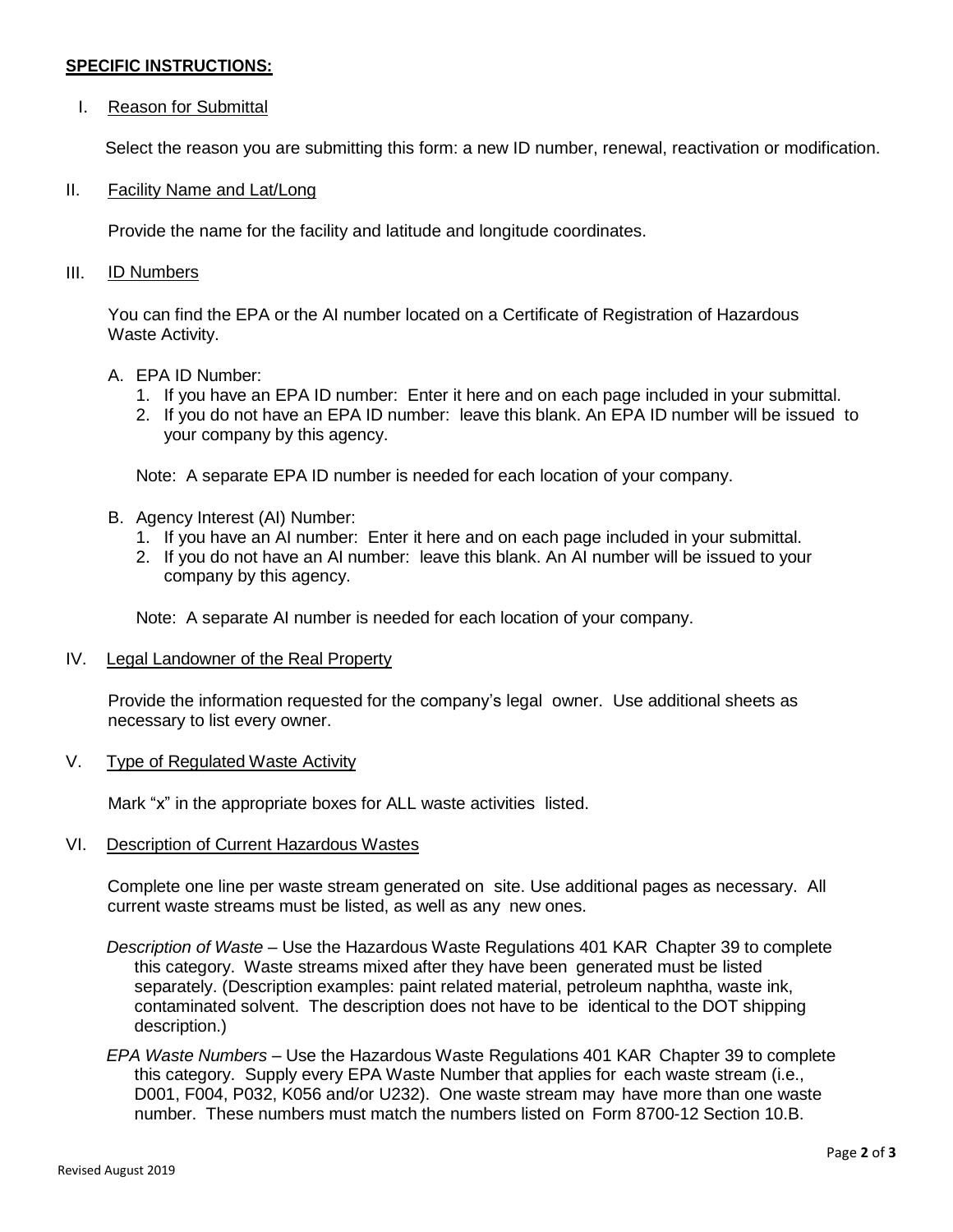### **SPECIFIC INSTRUCTIONS:**

### I. Reason for Submittal

Select the reason you are submitting this form: a new ID number, renewal, reactivation or modification.

#### II. Facility Name and Lat/Long

Provide the name for the facility and latitude and longitude coordinates.

#### III. ID Numbers

You can find the EPA or the AI number located on a Certificate of Registration of Hazardous Waste Activity.

#### A. EPA ID Number:

- 1. If you have an EPA ID number: Enter it here and on each page included in your submittal.
- 2. If you do not have an EPA ID number: leave this blank. An EPA ID number will be issued to your company by this agency.

Note: A separate EPA ID number is needed for each location of your company.

- B. Agency Interest (AI) Number:
	- 1. If you have an AI number: Enter it here and on each page included in your submittal.
	- 2. If you do not have an AI number: leave this blank. An AI number will be issued to your company by this agency.

Note: A separate AI number is needed for each location of your company.

#### IV. Legal Landowner of the Real Property

Provide the information requested for the company's legal owner. Use additional sheets as necessary to list every owner.

V. Type of Regulated Waste Activity

Mark "x" in the appropriate boxes for ALL waste activities listed.

#### VI. Description of Current Hazardous Wastes

Complete one line per waste stream generated on site. Use additional pages as necessary. All current waste streams must be listed, as well as any new ones.

- *Description of Waste* Use the Hazardous Waste Regulations 401 KAR Chapter 39 to complete this category. Waste streams mixed after they have been generated must be listed separately. (Description examples: paint related material, petroleum naphtha, waste ink, contaminated solvent. The description does not have to be identical to the DOT shipping description.)
- *EPA Waste Numbers* Use the Hazardous Waste Regulations 401 KAR Chapter 39 to complete this category. Supply every EPA Waste Number that applies for each waste stream (i.e., D001, F004, P032, K056 and/or U232). One waste stream may have more than one waste number. These numbers must match the numbers listed on Form 8700-12 Section 10.B.